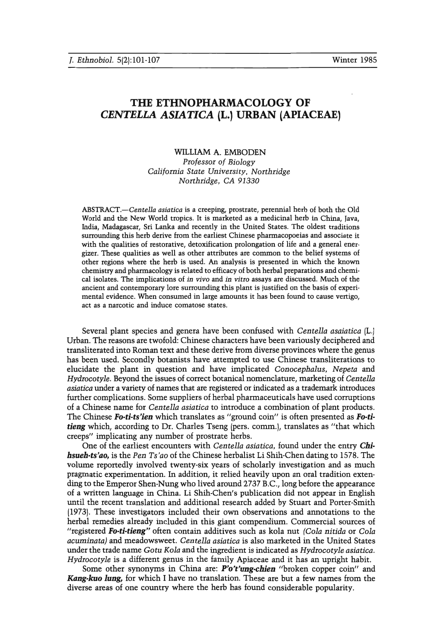# THE ETHNOPHARMACOLOGY OF *CENTELLA ASIATICA* (L.) URBAN (APIACEAE)

## WILLIAM A. EMBODEN *Professor of Biology California State University, Northridge* Northridge, CA 91330

*ABSTRACT.-Centella asiatica* is a creeping, prostrate, perennial herb of both the Old World and the New World tropics. It is marketed as a medicinal herb in China, Java, India, Madagascar, Sri Lanka and recently in the United States. The oldest traditions surrounding this herb derive from the earliest Chinese pharmacopoeias and associate it with the qualities of restorative, detoxification prolongation of life and a general energizer. These qualities as well as other attributes are common to the belief systems of other regions where the herb is used. An analysis is presented in which the known chemistry and pharmacology is related to efficacy of both herbal preparations and chemical isolates. The implications of *in vivo* and *in vitro* assays are discussed. Much of the ancient and contemporary lore surrounding this plant is justified on the basis of experimental evidence. When consumed in large amounts it has been found to cause vertigo, act as a narcotic and induce comatose states.

Several plant species and genera have been confused with *Centella asaiatica* (L.) Urban. The reasons are twofold: Chinese characters have been variously deciphered and transliterated into Roman text and these derive from diverse provinces where the genus has been used. Secondly botanists have attempted to use Chinese transliterations to elucidate the plant in question and have implicated *Conocepbalus, Nepeta* and *Hydxocotyle.* Beyond the issues of correct botanical nomenclature, marketing of *Centella asiatica* under a variety of names that are registered or indicated as a trademark introduces further complications. Some suppliers of herbal pharmaceuticals have used corruptions of a Chinese name for *Centella asiatica* to introduce a combination of plant products. The Chinese *Bo-ti-ts'ien* which translates as "ground coin" is often presented as *Bo-titieng* which, according to Dr. Charles Tseng (pers. comm.), translates as "that which creeps" implicating any number of prostrate herbs.

One of the earliest encounters with *Centella asiatica,* found under the entry *Chibsueb-ts'ao,* is the *Pen Ts'ao* of the Chinese herbalist Li Shih-Chen dating to 1578. The volume reportedly involved twenty-six years of scholarly investigation and as much pragmatic experimentation. In addition, it relied heavily upon an oral tradition extending to the Emperor Shen-Nung who lived around 2737 B.C., long before the appearance of a written language in China. Li Shih-Chen's publication did not appear in English until the recent translation and additional research added by Stuart and Porter-Smith (1973). These investigators included their own observations and annotations to the herbal remedies already included in this giant compendium. Commercial sources of "registered *Fo-ti-tieng"* often contain additives such as kola nut *(Cola nitida* or *Cola acuminata)* and meadowsweet. *Centella asiatica* is also marketed in the United States under the trade name *Gotu Kola* and the ingredient is indicated as *Hydtocotyle asiatica. Hydxocotyle* is a different genus in the family Apiaceae and it has an upright habit.

Some other synonyms in China are: P'o't'ung-chien "broken copper coin" and *Kang-kuo lung,* for which I have no translation. These are but a few names from the diverse areas of one country where the herb has found considerable popularity.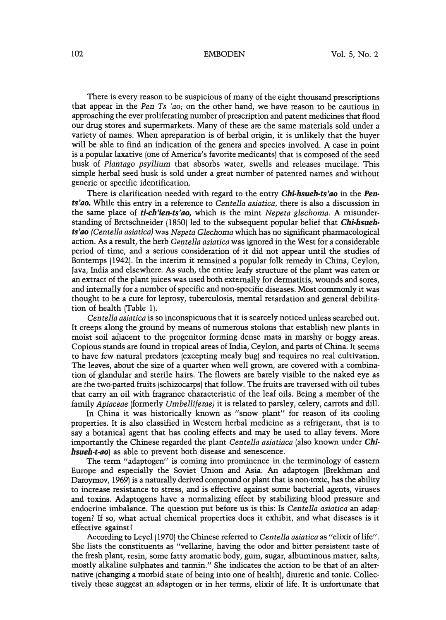There is every reason to be suspicious of many of the eight thousand prescriptions that appear in the *Pen Ts 'ao,* on the other hand, we have reason to be cautious in approaching the ever proliferating number of prescription and patent medicines that flood our drug stores and supermarkets. Many of these are the same materials sold under a variety of names. When apreparation is of herbal origin, it is unlikely that the buyer will be able to find an indication of the genera and species involved. A case in point is a popular laxative (one of America's favorite medicants) that is composed of the seed husk of *Plantago psyllium* that absorbs water, swells and releases mucilage. This simple herbal seed husk is sold under a great number of patented names and without generic or specific identification.

There is clarification needed with regard to the entry *Cbi-bsueb-ts'ao* in the Pen*ts'ao.* While this entry in a reference to *Centella asiatica,* there is also a discussion in the same place of *ti-ch'ien-ts'ao,* which is the mint *Nepeta glechoma.* A misunderstanding of Bretschneider (1850) led to the subsequent popular belief that *Chi-hsuehts'ao (Centella asiatica)*was *Nepeta Glechoma* which has no significant pharmacological action. As a result, the herb *Centella asiatica* was ignored in the West for a considerable period of time, and a serious consideration of it did not appear until the studies of Bontemps (1942). In the interim it remained a popular folk remedy in China, Ceylon, Java, India and elsewhere. As such, the entire leafy structure of the plant was eaten or an extract of the plant juices was used both externally for dermatitis, wounds and sores, and internally for a number of specific and non-specific diseases. Most commonly it was thought to be a cure for leprosy, tuberculosis, mental retardation and general debilitation of health (Table 1).

*Centella asiatica* is so inconspicuous that it is scarcely noticed unless searched out. It creeps along the ground by means of numerous stolons that establish new plants in moist soil adjacent to the progenitor forming dense mats in marshy or boggy areas. Copious stands are found in tropical areas of India, Ceylon, and parts of China. It seems to have few natural predators (excepting mealy bug) and requires no real cultivation. The leaves, about the size of a quarter when well grown, are covered with a combination of glandular and sterile hairs. The flowers are barely visible to the naked eye as are the two-parted fruits (schizocarps) that follow. The fruits are traversed with oil tubes that carry an oil with fragrance characteristic of the leaf oils. Being a member of the family *Apiaceae* (formerly *Umbelliietae)* it is related to parsley, celery, carrots and dill.

In China it was historically known as "snow plant" for reason of its cooling properties. It is also classified in Western herbal medicine as a refrigerant, that is to say a botanical agent that has cooling effects and may be used to allay fevers. More importantly the Chinese regarded the plant *Centella asiatiaca* (also known under *Chihsueh-t-ao*) as able to prevent both disease and senescence.

The term "adaptogen" is coming into prominence in the terminology of eastern Europe and especially the Soviet Union and Asia. An adaptogen (Brekhman and Daroymov, 1969) is a naturally derived compound or plant that is non-toxic, has the ability to increase resistance to stress, and is effective against some bacterial agents, viruses and toxins. Adaptogens have a normalizing effect by stabilizing blood pressure and endocrine imbalance. The question put before us is this: Is *Centella asiatica* an adaptogen? If so, what actual chemical properties does it exhibit, and what diseases is it effective against?

According to Leyel (1970) the Chinese referred to *Centella asiatica* as "elixir of life". She lists the constituents as "vellarine, having the odor and bitter persistent taste of the fresh plant, resin, some fatty aromatic body, gum, sugar, albuminous matter, salts, mostly alkaline sulphates and tannin." She indicates the action to be that of an alternative {changinga morbid state of being into one of health}, diuretic and tonic. Collectively these suggest an adaptogen or in her terms, elixir of life. It is unfortunate that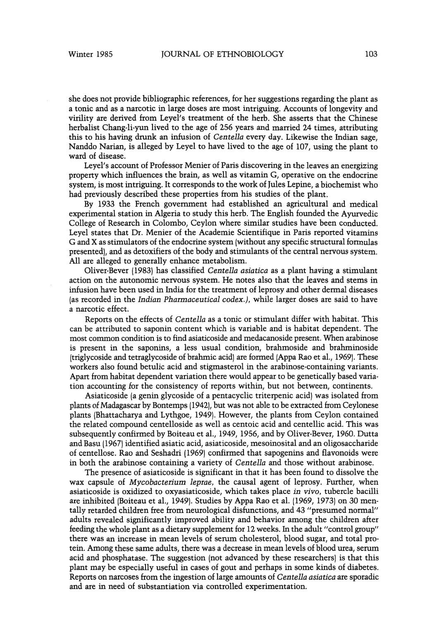she does not provide bibliographic references, for her suggestions regarding the plant as a tonic and as a narcotic in large doses are most intriguing. Accounts of longevity and virility are derived from Leyel's treatment of the herb. She asserts that the Chinese herbalist Chang-li-yun lived to the age of 256 years and married 24 times, attributing this to his having drunk an infusion of *Cetitella* every day. Likewise the Indian sage, Nanddo Narian, is alleged by Leyel to have lived to the age of 107, using the plant to ward of disease.

Leyel's account of Professor Menier of Paris discovering in the leaves an energizing property which influences the brain, as well as vitamin G, operative on the endocrine system, is most intriguing. It corresponds to the work of Jules Lepine, a biochemist who had previously described these properties from his studies of the plant.

By 1933 the French government had established an agricultural and medical experimental station in Algeria to study this herb. The English founded the Ayurvedic College of Research in Colombo, Ceylon where similar studies have been conducted. Leyel states that Dr. Menier of the Academie Scientifique in Paris reported vitamins G and X asstimulators of the endocrine system (without any specific structural formulas presented), and as detoxifiers of the body and stimulants of the central nervous system. All are alleged to generally enhance metabolism.

Oliver-Bever (1983) has classified *Centella asiatica* as a plant having a stimulant action on the autonomic nervous system. He notes also that the leaves and stems in infusion have been used in India for the treatment of leprosy and other dermal diseases (as recorded in the *Indian Pharmaceutical codex.),* while larger doses are said to have a narcotic effect.

Reports on the effects of *Centella* as a tonic or stimulant differ with habitat. This can be attributed to saponin content which is variable and is habitat dependent. The most common condition is to find asiaticoside and medacanoside present. When arabinose is present in the saponins, a less usual condition, brahmoside and brahminoside (triglycoside and tetraglycoside of brahmic acid) are formed (Appa Rao et al., 1969). These workers also found betulic acid and stigmasterol in the arabinose-containing variants. Apart from habitat dependent variation there would appear to be genetically based variation accounting for the consistency of reports within, but not between, continents.

Asiaticoside (a genin glycoside of a pentacyclic triterpenic acid) was isolated from plants of Madagascarby Bontemps (1942), but was not able to be extracted from Ceylonese plants (Bhattacharya and Lythgoe, 1949). However, the plants from Ceylon contained the related compound centelloside as well as centoic acid and centellic acid. This was subsequently confirmed by Boiteau et al., 1949, 1956, and by Oliver-Bever, 1960. Dutta and Basu (1967) identified asiatic acid, asiaticoside, mesoinosital and an oligosaccharide of centellose. Rao and Seshadri (1969) confirmed that sapogenins and flavonoids were in both the arabinose containing a variety of *Centella* and those without arabinose.

The presence of asiaticoside is significant in that it has been found to dissolve the wax capsule of *Mycobacterium leptae,* the causal agent of leprosy. Further, when asiaticoside is oxidized to oxyasiaticoside, which takes place in *vivo,* tubercle bacilli are inhibited (Boiteau et al., 1949). Studies by Appa Rao et al. (1969, 1973) on 30 mentally retarded children free from neurological disfunctions, and 43 "presumed normal" adults revealed significantly improved ability and behavior among the children after feeding the whole plant as a dietary supplement for 12 weeks. In the adult "control group" there was an increase in mean levels of serum cholesterol, blood sugar, and total protein. Among these same adults, there was a decrease in mean levels of blood urea, serum acid and phosphatase. The suggestion (not advanced by these researchers) is that this plant may be especially useful in cases of gout and perhaps in some kinds of diabetes. Reports on narcoses from the ingestion of large amounts of *Centella asiatica* are sporadic and are in need of substantiation via controlled experimentation.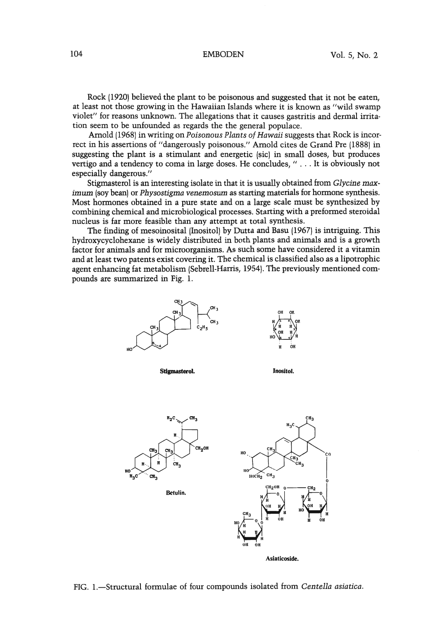Rock (1920) believed the plant to be poisonous and suggested that it not be eaten, at least not those growing in the Hawaiian Islands where it is known as "wild swamp violet" for reasons unknown. The allegations that it causes gastritis and dermal irritation seem to be unfounded as regards the the general populace.

Arnold (1968) in writing on *Poisonous Plants of Hawaii* suggests that Rock is incorrect in his assertions of "dangerously poisonous." Arnold cites de Grand Pre (1888) in suggesting the plant is a stimulant and energetic (sic) in small doses, but produces vertigo and a tendency to coma in large doses. He concludes, " ... It is obviously not especially dangerous."

Stigmasterol is an interesting isolate in that it is usually obtained from *Glycine max*imum (soybean) or *Physostigma venemosum* as starting materials for hormone synthesis. Most hormones obtained in a pure state and on a large scale must be synthesized by combining chemical and microbiological processes. Starting with a preformed steroidal nucleus is far more feasible than any attempt at total synthesis.

The finding of mesoinosital (Inositol) by Dutta and Basu (1967) is intriguing. This hydroxycyclohexane is widely distributed in both plants and animals and is a growth factor for animals and for microorganisms. As such some have considered it a vitamin and at least two patents exist covering it. The chemical is classified also as a lipotrophic agent enhancing fat metabolism (Sebrell-Harris, 1954).The previously mentioned compounds are summarized in Fig. 1.





Stigmasterol.

Inositol.



FIG. I.-Structural formulae of four compounds isolated from *Centella asiatica.*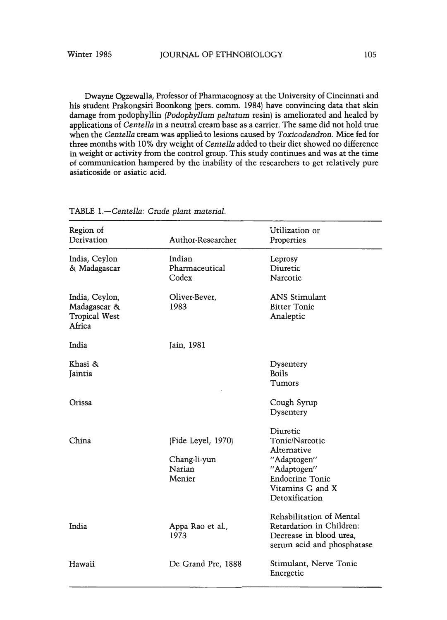Dwayne Ogzewalla, Professor of Pharmacognosy at the University of Cincinnati and his student Prakongsiri Boonkong (pers. comm. 1984) have convincing data that skin damage from podophyllin *(Podophyllum peltatum* resin) is ameliorated and healed by applications of *Centella* in a neutral cream base as a carrier. The same did not hold true when the *Centella* cream was applied to lesions caused by *Toxicodendron.* Mice fed for three months with 10% dry weight of *Centella* added to their diet showed no difference in weight or activity from the control group. This study continues and was at the time of communication hampered by the inability of the researchers to get relatively pure asiaticoside or asiatic acid.

| Region of                                                        |                                                        | Utilization or                                                                                                                          |  |
|------------------------------------------------------------------|--------------------------------------------------------|-----------------------------------------------------------------------------------------------------------------------------------------|--|
| Derivation                                                       | Author-Researcher                                      | Properties                                                                                                                              |  |
| India, Ceylon<br>& Madagascar                                    | Indian<br>Pharmaceutical<br>Codex                      | Leprosy<br>Diuretic<br>Narcotic                                                                                                         |  |
| India, Ceylon,<br>Madagascar &<br><b>Tropical West</b><br>Africa | Oliver-Bever,<br>1983                                  | <b>ANS Stimulant</b><br><b>Bitter Tonic</b><br>Analeptic                                                                                |  |
| India                                                            | Jain, 1981                                             |                                                                                                                                         |  |
| Khasi &<br>Jaintia                                               |                                                        | Dysentery<br><b>Boils</b><br>Tumors                                                                                                     |  |
| Orissa                                                           |                                                        | Cough Syrup<br>Dysentery                                                                                                                |  |
| China                                                            | (Fide Leyel, 1970)<br>Chang-li-yun<br>Narian<br>Menier | Diuretic<br>Tonic/Narcotic<br>Alternative<br>"Adaptogen"<br>"Adaptogen"<br><b>Endocrine Tonic</b><br>Vitamins G and X<br>Detoxification |  |
| India                                                            | Appa Rao et al.,<br>1973                               | Rehabilitation of Mental<br>Retardation in Children:<br>Decrease in blood urea,<br>serum acid and phosphatase                           |  |
| Hawaii                                                           | De Grand Pre, 1888                                     | Stimulant, Nerve Tonic<br>Energetic                                                                                                     |  |

TABLE *1.-Centella:* Crude *plant material.*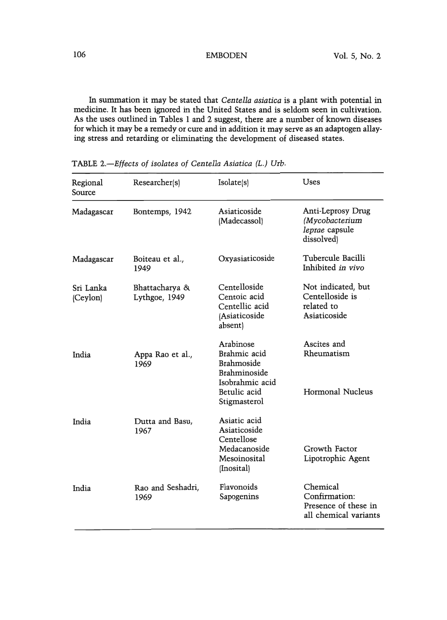In summation it may be stated that *Centella asiatica* is a plant with potential in medicine. It has been ignored in the United States and is seldom seen in cultivation. As the uses outlined in Tables 1 and 2 suggest, there are a number of known diseases for which it may be a remedy or cure and in addition it may serve as an adaptogen allaying stress and retarding or eliminating the development of diseased states.

| Regional<br>Source    | Researcher(s)                   | Isolate(s)                                                                                                 | Uses                                                                       |
|-----------------------|---------------------------------|------------------------------------------------------------------------------------------------------------|----------------------------------------------------------------------------|
| Madagascar            | Bontemps, 1942                  | Asiaticoside<br>(Madecassol)                                                                               | Anti-Leprosy Drug<br>(Mycobacterium<br>leprae capsule<br>dissolved)        |
| Madagascar            | Boiteau et al.,<br>1949         | Oxyasiaticoside                                                                                            | Tubercule Bacilli<br>Inhibited in vivo                                     |
| Sri Lanka<br>(Ceylon) | Bhattacharya &<br>Lythgoe, 1949 | Centelloside<br>Centoic acid<br>Centellic acid<br>(Asiaticoside<br>absent)                                 | Not indicated, but<br>Centelloside is<br>related to<br>Asiaticoside        |
| India                 | Appa Rao et al.,<br>1969        | Arabinose<br>Brahmic acid<br>Brahmoside<br>Brahminoside<br>Isobrahmic acid<br>Betulic acid<br>Stigmasterol | Ascites and<br>Rheumatism<br>Hormonal Nucleus                              |
| India                 | Dutta and Basu,<br>1967         | Asiatic acid<br>Asiaticoside<br>Centellose<br>Medacanoside<br>Mesoinosital<br>(Inosital)                   | Growth Factor<br>Lipotrophic Agent                                         |
| India                 | Rao and Seshadri,<br>1969       | Flavonoids<br>Sapogenins                                                                                   | Chemical<br>Confirmation:<br>Presence of these in<br>all chemical variants |

TABLE *2.-Effects of isolates of Centella Asiatica (L.) Utb.*